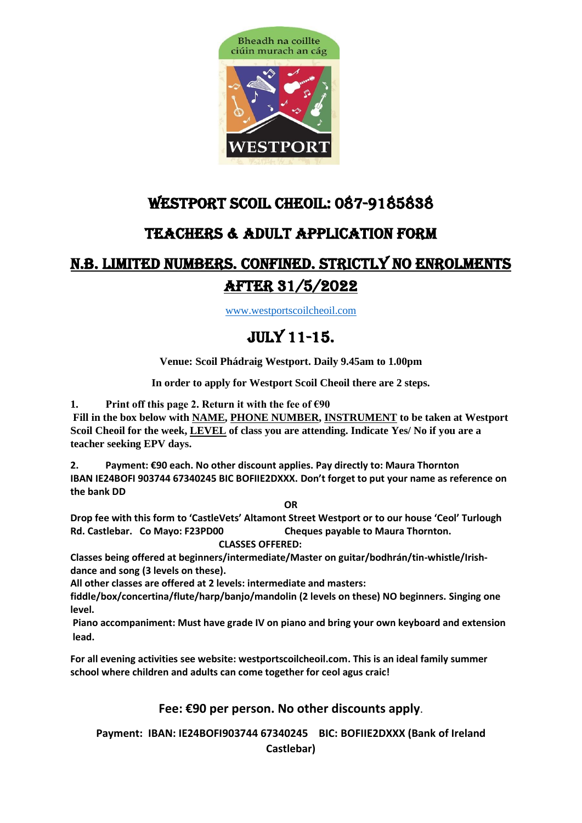

## WESTPORT SCOIL CHEOIL: 087-9185838

## TEACHERS & Adult application form

## N.B. LIMITED NUMBERS. CONFINED. Strictly NO enrolments after 31/5/2022

[www.westportscoilcheoil.com](http://www.westportscoilcheoil.com/)

# July 11-15.

**Venue: Scoil Phádraig Westport. Daily 9.45am to 1.00pm** 

**In order to apply for Westport Scoil Cheoil there are 2 steps.** 

**1. Print off this page 2. Return it with the fee of €90**

**Fill in the box below with NAME, PHONE NUMBER, INSTRUMENT to be taken at Westport Scoil Cheoil for the week, LEVEL of class you are attending. Indicate Yes/ No if you are a teacher seeking EPV days.** 

**2. Payment: €90 each. No other discount applies. Pay directly to: Maura Thornton IBAN IE24BOFI 903744 67340245 BIC BOFIIE2DXXX. Don't forget to put your name as reference on the bank DD**

**OR**

**Drop fee with this form to 'CastleVets' Altamont Street Westport or to our house 'Ceol' Turlough Rd. Castlebar. Co Mayo: F23PD00 Cheques payable to Maura Thornton.**

 **CLASSES OFFERED:** 

**Classes being offered at beginners/intermediate/Master on guitar/bodhrán/tin-whistle/Irishdance and song (3 levels on these).**

**All other classes are offered at 2 levels: intermediate and masters:** 

**fiddle/box/concertina/flute/harp/banjo/mandolin (2 levels on these) NO beginners. Singing one level.** 

**Piano accompaniment: Must have grade IV on piano and bring your own keyboard and extension lead.** 

**For all evening activities see website: westportscoilcheoil.com. This is an ideal family summer school where children and adults can come together for ceol agus craic!**

### **Fee: €90 per person. No other discounts apply**.

**Payment: IBAN: IE24BOFI903744 67340245 BIC: BOFIIE2DXXX (Bank of Ireland** 

**Castlebar)**